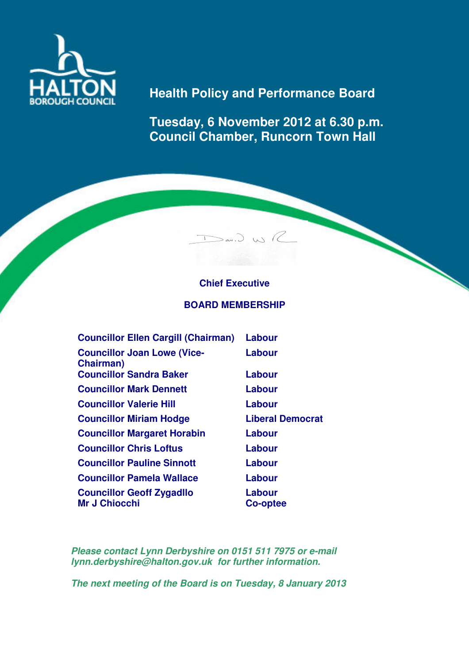

# **Health Policy and Performance Board**

**Tuesday, 6 November 2012 at 6.30 p.m. Council Chamber, Runcorn Town Hall** 

## **Chief Executive**

 $>_{av}.$   $>_{us}$ 

#### **BOARD MEMBERSHIP**

| <b>Councillor Ellen Cargill (Chairman)</b>               | Labour                  |
|----------------------------------------------------------|-------------------------|
| <b>Councillor Joan Lowe (Vice-</b><br><b>Chairman</b> )  | Labour                  |
| <b>Councillor Sandra Baker</b>                           | Labour                  |
| <b>Councillor Mark Dennett</b>                           | Labour                  |
| <b>Councillor Valerie Hill</b>                           | Labour                  |
| <b>Councillor Miriam Hodge</b>                           | <b>Liberal Democrat</b> |
| <b>Councillor Margaret Horabin</b>                       | Labour                  |
| <b>Councillor Chris Loftus</b>                           | Labour                  |
| <b>Councillor Pauline Sinnott</b>                        | Labour                  |
| <b>Councillor Pamela Wallace</b>                         | Labour                  |
| <b>Councillor Geoff Zygadllo</b><br><b>Mr J Chiocchi</b> | Labour<br>Co-optee      |

**Please contact Lynn Derbyshire on 0151 511 7975 or e-mail lynn.derbyshire@halton.gov.uk for further information.** 

**The next meeting of the Board is on Tuesday, 8 January 2013**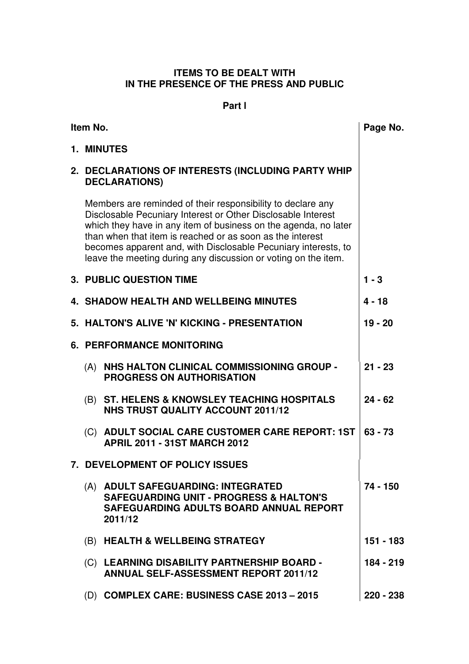### **ITEMS TO BE DEALT WITH IN THE PRESENCE OF THE PRESS AND PUBLIC**

### **Part l**

| Item No. |     | Page No.                                                                                                                                                                                                                                                                                                                                                                                        |           |
|----------|-----|-------------------------------------------------------------------------------------------------------------------------------------------------------------------------------------------------------------------------------------------------------------------------------------------------------------------------------------------------------------------------------------------------|-----------|
|          |     | 1. MINUTES                                                                                                                                                                                                                                                                                                                                                                                      |           |
|          |     | 2. DECLARATIONS OF INTERESTS (INCLUDING PARTY WHIP<br><b>DECLARATIONS)</b>                                                                                                                                                                                                                                                                                                                      |           |
|          |     | Members are reminded of their responsibility to declare any<br>Disclosable Pecuniary Interest or Other Disclosable Interest<br>which they have in any item of business on the agenda, no later<br>than when that item is reached or as soon as the interest<br>becomes apparent and, with Disclosable Pecuniary interests, to<br>leave the meeting during any discussion or voting on the item. |           |
|          |     | <b>3. PUBLIC QUESTION TIME</b>                                                                                                                                                                                                                                                                                                                                                                  | $1 - 3$   |
|          |     | <b>4. SHADOW HEALTH AND WELLBEING MINUTES</b>                                                                                                                                                                                                                                                                                                                                                   | $4 - 18$  |
|          |     | 5. HALTON'S ALIVE 'N' KICKING - PRESENTATION                                                                                                                                                                                                                                                                                                                                                    | $19 - 20$ |
|          |     | <b>6. PERFORMANCE MONITORING</b>                                                                                                                                                                                                                                                                                                                                                                |           |
|          | (A) | NHS HALTON CLINICAL COMMISSIONING GROUP -<br><b>PROGRESS ON AUTHORISATION</b>                                                                                                                                                                                                                                                                                                                   | $21 - 23$ |
|          | (B) | <b>ST. HELENS &amp; KNOWSLEY TEACHING HOSPITALS</b><br><b>NHS TRUST QUALITY ACCOUNT 2011/12</b>                                                                                                                                                                                                                                                                                                 | $24 - 62$ |
|          |     | (C) ADULT SOCIAL CARE CUSTOMER CARE REPORT: 1ST<br><b>APRIL 2011 - 31ST MARCH 2012</b>                                                                                                                                                                                                                                                                                                          | $63 - 73$ |
|          |     | 7. DEVELOPMENT OF POLICY ISSUES                                                                                                                                                                                                                                                                                                                                                                 |           |
|          |     | (A) ADULT SAFEGUARDING: INTEGRATED<br><b>SAFEGUARDING UNIT - PROGRESS &amp; HALTON'S</b><br>SAFEGUARDING ADULTS BOARD ANNUAL REPORT<br>2011/12                                                                                                                                                                                                                                                  | 74 - 150  |
|          | (B) | <b>HEALTH &amp; WELLBEING STRATEGY</b>                                                                                                                                                                                                                                                                                                                                                          | 151 - 183 |
|          |     | (C) LEARNING DISABILITY PARTNERSHIP BOARD -<br><b>ANNUAL SELF-ASSESSMENT REPORT 2011/12</b>                                                                                                                                                                                                                                                                                                     | 184 - 219 |
|          |     | (D) COMPLEX CARE: BUSINESS CASE 2013 - 2015                                                                                                                                                                                                                                                                                                                                                     | 220 - 238 |